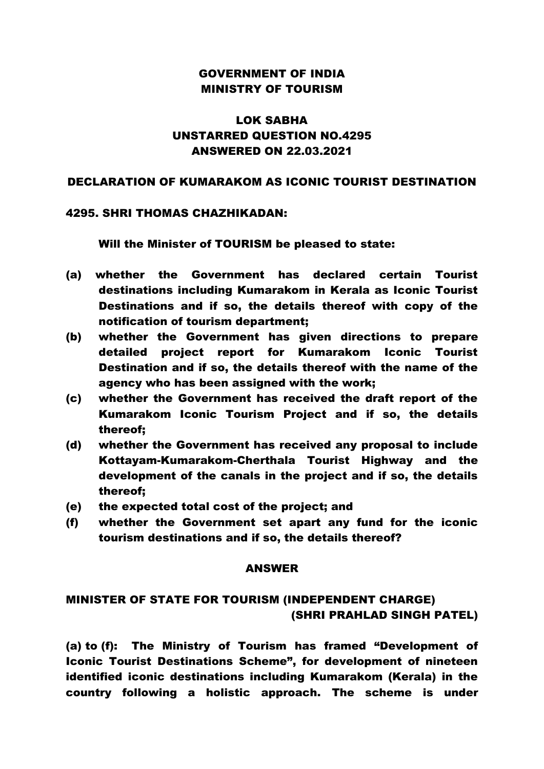## GOVERNMENT OF INDIA MINISTRY OF TOURISM

# LOK SABHA UNSTARRED QUESTION NO.4295 ANSWERED ON 22.03.2021

### DECLARATION OF KUMARAKOM AS ICONIC TOURIST DESTINATION

#### 4295. SHRI THOMAS CHAZHIKADAN:

Will the Minister of TOURISM be pleased to state:

- (a) whether the Government has declared certain Tourist destinations including Kumarakom in Kerala as Iconic Tourist Destinations and if so, the details thereof with copy of the notification of tourism department;
- (b) whether the Government has given directions to prepare detailed project report for Kumarakom Iconic Tourist Destination and if so, the details thereof with the name of the agency who has been assigned with the work;
- (c) whether the Government has received the draft report of the Kumarakom Iconic Tourism Project and if so, the details thereof;
- (d) whether the Government has received any proposal to include Kottayam-Kumarakom-Cherthala Tourist Highway and the development of the canals in the project and if so, the details thereof;
- (e) the expected total cost of the project; and
- (f) whether the Government set apart any fund for the iconic tourism destinations and if so, the details thereof?

#### ANSWER

## MINISTER OF STATE FOR TOURISM (INDEPENDENT CHARGE) (SHRI PRAHLAD SINGH PATEL)

(a) to (f): The Ministry of Tourism has framed "Development of Iconic Tourist Destinations Scheme", for development of nineteen identified iconic destinations including Kumarakom (Kerala) in the country following a holistic approach. The scheme is under